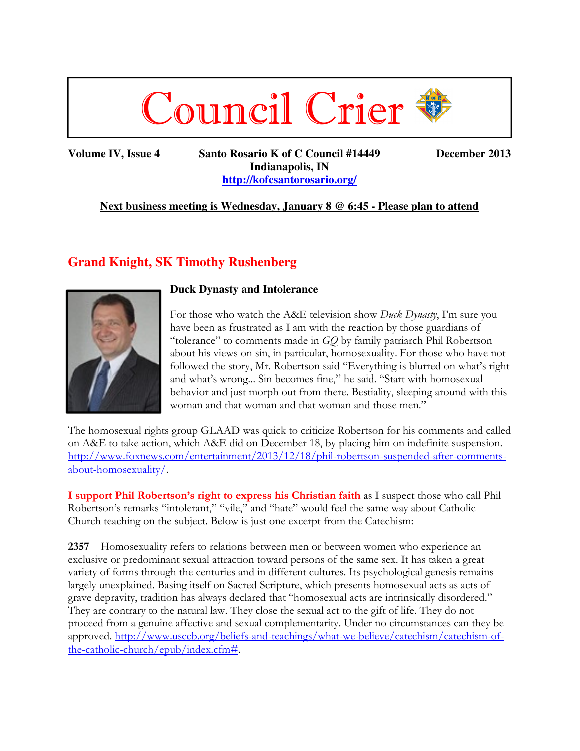

**Volume IV, Issue 4 Santo Rosario K of C Council #14449 December 2013 Indianapolis, IN http://kofcsantorosario.org/**

## **Next business meeting is Wednesday, January 8 @ 6:45 - Please plan to attend**

# **Grand Knight, SK Timothy Rushenberg**



#### **Duck Dynasty and Intolerance**

For those who watch the A&E television show *Duck Dynasty*, I'm sure you have been as frustrated as I am with the reaction by those guardians of "tolerance" to comments made in *GQ* by family patriarch Phil Robertson about his views on sin, in particular, homosexuality. For those who have not followed the story, Mr. Robertson said "Everything is blurred on what's right and what's wrong... Sin becomes fine," he said. "Start with homosexual behavior and just morph out from there. Bestiality, sleeping around with this woman and that woman and that woman and those men."

The homosexual rights group GLAAD was quick to criticize Robertson for his comments and called on A&E to take action, which A&E did on December 18, by placing him on indefinite suspension. http://www.foxnews.com/entertainment/2013/12/18/phil-robertson-suspended-after-commentsabout-homosexuality/.

**I support Phil Robertson's right to express his Christian faith** as I suspect those who call Phil Robertson's remarks "intolerant," "vile," and "hate" would feel the same way about Catholic Church teaching on the subject. Below is just one excerpt from the Catechism:

**2357** Homosexuality refers to relations between men or between women who experience an exclusive or predominant sexual attraction toward persons of the same sex. It has taken a great variety of forms through the centuries and in different cultures. Its psychological genesis remains largely unexplained. Basing itself on Sacred Scripture, which presents homosexual acts as acts of grave depravity, tradition has always declared that "homosexual acts are intrinsically disordered." They are contrary to the natural law. They close the sexual act to the gift of life. They do not proceed from a genuine affective and sexual complementarity. Under no circumstances can they be approved. http://www.usccb.org/beliefs-and-teachings/what-we-believe/catechism/catechism-ofthe-catholic-church/epub/index.cfm#.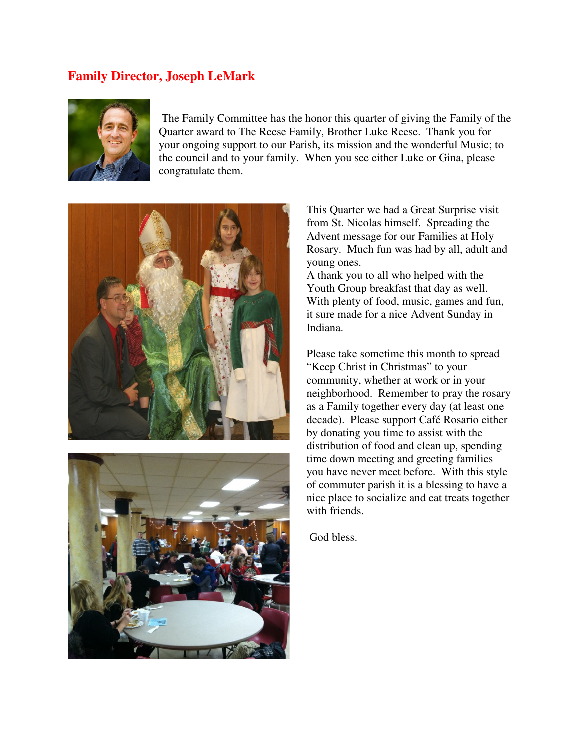## **Family Director, Joseph LeMark**



 The Family Committee has the honor this quarter of giving the Family of the Quarter award to The Reese Family, Brother Luke Reese. Thank you for your ongoing support to our Parish, its mission and the wonderful Music; to the council and to your family. When you see either Luke or Gina, please congratulate them.





This Quarter we had a Great Surprise visit from St. Nicolas himself. Spreading the Advent message for our Families at Holy Rosary. Much fun was had by all, adult and young ones.

A thank you to all who helped with the Youth Group breakfast that day as well. With plenty of food, music, games and fun, it sure made for a nice Advent Sunday in Indiana.

Please take sometime this month to spread "Keep Christ in Christmas" to your community, whether at work or in your neighborhood. Remember to pray the rosary as a Family together every day (at least one decade). Please support Café Rosario either by donating you time to assist with the distribution of food and clean up, spending time down meeting and greeting families you have never meet before. With this style of commuter parish it is a blessing to have a nice place to socialize and eat treats together with friends.

God bless.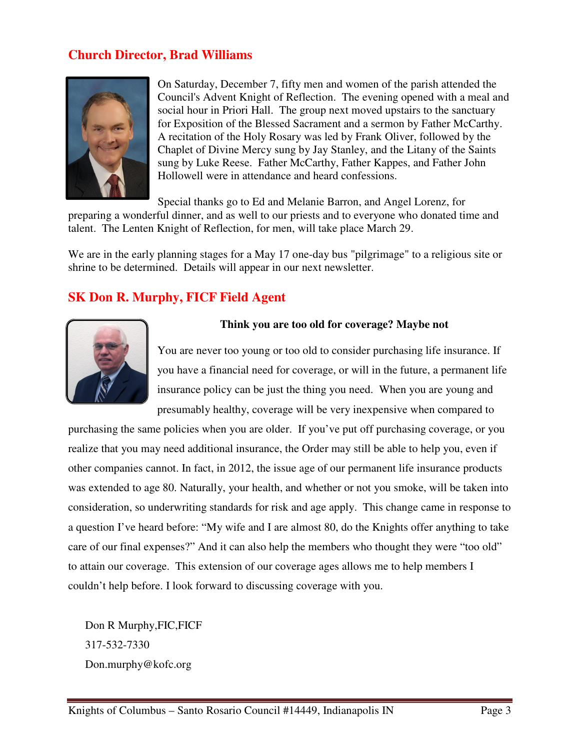# **Church Director, Brad Williams**



On Saturday, December 7, fifty men and women of the parish attended the Council's Advent Knight of Reflection. The evening opened with a meal and social hour in Priori Hall. The group next moved upstairs to the sanctuary for Exposition of the Blessed Sacrament and a sermon by Father McCarthy. A recitation of the Holy Rosary was led by Frank Oliver, followed by the Chaplet of Divine Mercy sung by Jay Stanley, and the Litany of the Saints sung by Luke Reese. Father McCarthy, Father Kappes, and Father John Hollowell were in attendance and heard confessions.

Special thanks go to Ed and Melanie Barron, and Angel Lorenz, for

preparing a wonderful dinner, and as well to our priests and to everyone who donated time and talent. The Lenten Knight of Reflection, for men, will take place March 29.

We are in the early planning stages for a May 17 one-day bus "pilgrimage" to a religious site or shrine to be determined. Details will appear in our next newsletter.

## **SK Don R. Murphy, FICF Field Agent**



### **Think you are too old for coverage? Maybe not**

You are never too young or too old to consider purchasing life insurance. If you have a financial need for coverage, or will in the future, a permanent life insurance policy can be just the thing you need. When you are young and presumably healthy, coverage will be very inexpensive when compared to

purchasing the same policies when you are older. If you've put off purchasing coverage, or you realize that you may need additional insurance, the Order may still be able to help you, even if other companies cannot. In fact, in 2012, the issue age of our permanent life insurance products was extended to age 80. Naturally, your health, and whether or not you smoke, will be taken into consideration, so underwriting standards for risk and age apply. This change came in response to a question I've heard before: "My wife and I are almost 80, do the Knights offer anything to take care of our final expenses?" And it can also help the members who thought they were "too old" to attain our coverage. This extension of our coverage ages allows me to help members I couldn't help before. I look forward to discussing coverage with you.

Don R Murphy,FIC,FICF 317-532-7330 Don.murphy@kofc.org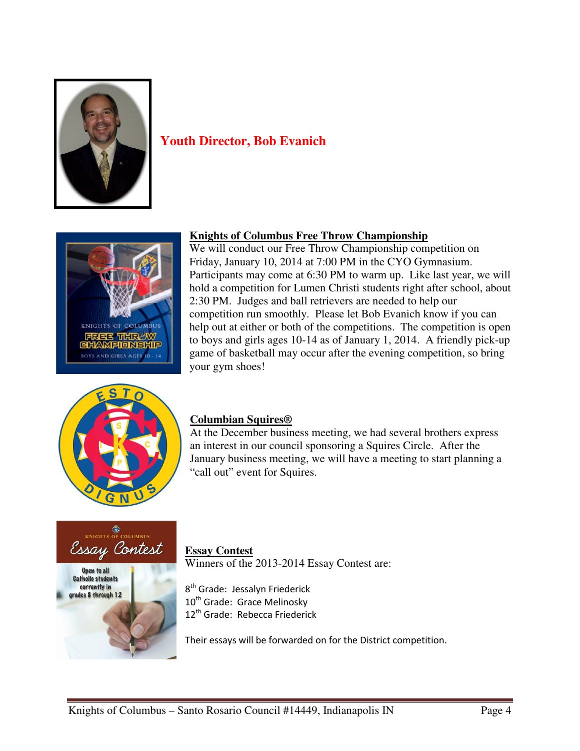

# **Youth Director, Bob Evanich**



### **Knights of Columbus Free Throw Championship**

We will conduct our Free Throw Championship competition on Friday, January 10, 2014 at 7:00 PM in the CYO Gymnasium. Participants may come at 6:30 PM to warm up. Like last year, we will hold a competition for Lumen Christi students right after school, about 2:30 PM. Judges and ball retrievers are needed to help our competition run smoothly. Please let Bob Evanich know if you can help out at either or both of the competitions. The competition is open to boys and girls ages 10-14 as of January 1, 2014. A friendly pick-up game of basketball may occur after the evening competition, so bring your gym shoes!



### **Columbian Squires®**

At the December business meeting, we had several brothers express an interest in our council sponsoring a Squires Circle. After the January business meeting, we will have a meeting to start planning a "call out" event for Squires.



#### **Essay Contest**

Winners of the 2013-2014 Essay Contest are:

8<sup>th</sup> Grade: Jessalyn Friederick 10<sup>th</sup> Grade: Grace Melinosky 12<sup>th</sup> Grade: Rebecca Friederick

Their essays will be forwarded on for the District competition.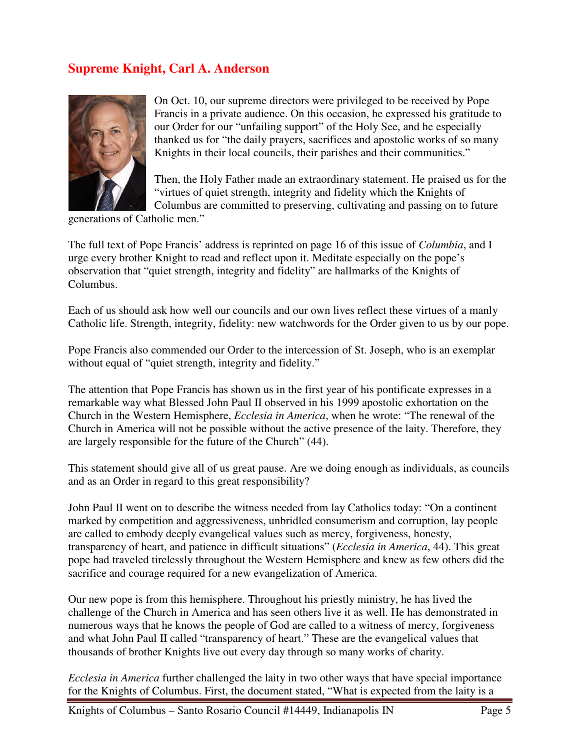# **Supreme Knight, Carl A. Anderson**



On Oct. 10, our supreme directors were privileged to be received by Pope Francis in a private audience. On this occasion, he expressed his gratitude to our Order for our "unfailing support" of the Holy See, and he especially thanked us for "the daily prayers, sacrifices and apostolic works of so many Knights in their local councils, their parishes and their communities."

Then, the Holy Father made an extraordinary statement. He praised us for the "virtues of quiet strength, integrity and fidelity which the Knights of Columbus are committed to preserving, cultivating and passing on to future

generations of Catholic men."

The full text of Pope Francis' address is reprinted on page 16 of this issue of *Columbia*, and I urge every brother Knight to read and reflect upon it. Meditate especially on the pope's observation that "quiet strength, integrity and fidelity" are hallmarks of the Knights of Columbus.

Each of us should ask how well our councils and our own lives reflect these virtues of a manly Catholic life. Strength, integrity, fidelity: new watchwords for the Order given to us by our pope.

Pope Francis also commended our Order to the intercession of St. Joseph, who is an exemplar without equal of "quiet strength, integrity and fidelity."

The attention that Pope Francis has shown us in the first year of his pontificate expresses in a remarkable way what Blessed John Paul II observed in his 1999 apostolic exhortation on the Church in the Western Hemisphere, *Ecclesia in America*, when he wrote: "The renewal of the Church in America will not be possible without the active presence of the laity. Therefore, they are largely responsible for the future of the Church" (44).

This statement should give all of us great pause. Are we doing enough as individuals, as councils and as an Order in regard to this great responsibility?

John Paul II went on to describe the witness needed from lay Catholics today: "On a continent marked by competition and aggressiveness, unbridled consumerism and corruption, lay people are called to embody deeply evangelical values such as mercy, forgiveness, honesty, transparency of heart, and patience in difficult situations" (*Ecclesia in America*, 44). This great pope had traveled tirelessly throughout the Western Hemisphere and knew as few others did the sacrifice and courage required for a new evangelization of America.

Our new pope is from this hemisphere. Throughout his priestly ministry, he has lived the challenge of the Church in America and has seen others live it as well. He has demonstrated in numerous ways that he knows the people of God are called to a witness of mercy, forgiveness and what John Paul II called "transparency of heart." These are the evangelical values that thousands of brother Knights live out every day through so many works of charity.

*Ecclesia in America* further challenged the laity in two other ways that have special importance for the Knights of Columbus. First, the document stated, "What is expected from the laity is a